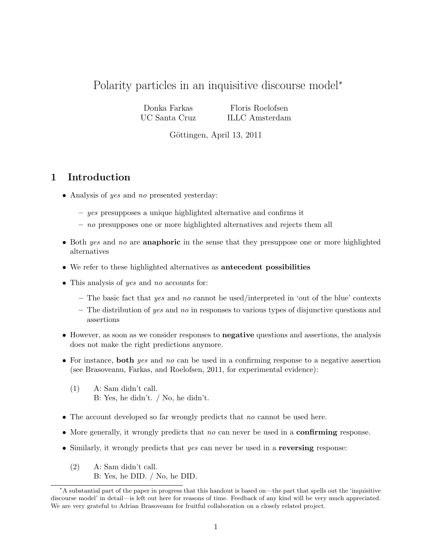# Polarity particles in an inquisitive discourse model<sup>∗</sup>

Donka Farkas UC Santa Cruz

Floris Roelofsen ILLC Amsterdam

Göttingen, April 13, 2011

### 1 Introduction

- Analysis of yes and no presented yesterday:
	- yes presupposes a unique highlighted alternative and confirms it
	- no presupposes one or more highlighted alternatives and rejects them all
- Both yes and no are **anaphoric** in the sense that they presuppose one or more highlighted alternatives
- We refer to these highlighted alternatives as antecedent possibilities
- This analysis of yes and no accounts for:
	- $-$  The basic fact that yes and no cannot be used/interpreted in 'out of the blue' contexts
	- $-$  The distribution of yes and no in responses to various types of disjunctive questions and assertions
- However, as soon as we consider responses to **negative** questions and assertions, the analysis does not make the right predictions anymore.
- For instance, both yes and no can be used in a confirming response to a negative assertion (see Brasoveanu, Farkas, and Roelofsen, 2011, for experimental evidence):
	- (1) A: Sam didn't call. B: Yes, he didn't. / No, he didn't.
- The account developed so far wrongly predicts that no cannot be used here.
- More generally, it wrongly predicts that no can never be used in a **confirming** response.
- Similarly, it wrongly predicts that  $yes$  can never be used in a **reversing** response:
	- (2) A: Sam didn't call. B: Yes, he DID. / No, he DID.

<sup>∗</sup>A substantial part of the paper in progress that this handout is based on—the part that spells out the 'inquisitive discourse model' in detail—is left out here for reasons of time. Feedback of any kind will be very much appreciated. We are very grateful to Adrian Brasoveanu for fruitful collaboration on a closely related project.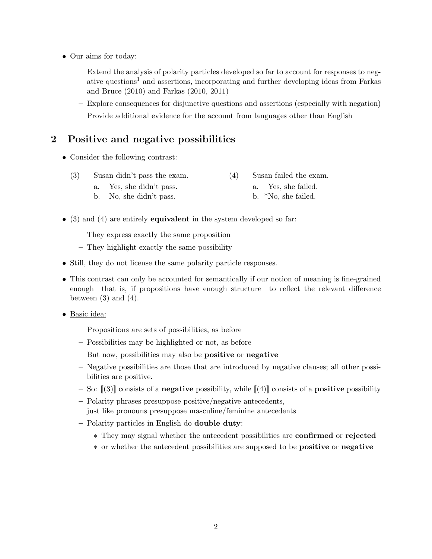- Our aims for today:
	- Extend the analysis of polarity particles developed so far to account for responses to negative questions<sup>1</sup> and assertions, incorporating and further developing ideas from Farkas and Bruce (2010) and Farkas (2010, 2011)
	- Explore consequences for disjunctive questions and assertions (especially with negation)
	- Provide additional evidence for the account from languages other than English

## 2 Positive and negative possibilities

- Consider the following contrast:
	- (3) Susan didn't pass the exam. (4) Susan failed the exam.
		- a. Yes, she didn't pass. b. No, she didn't pass.

a. Yes, she failed.

- b. \*No, she failed.
- $\bullet$  (3) and (4) are entirely **equivalent** in the system developed so far:
	- They express exactly the same proposition
	- They highlight exactly the same possibility
- Still, they do not license the same polarity particle responses.
- This contrast can only be accounted for semantically if our notion of meaning is fine-grained enough—that is, if propositions have enough structure—to reflect the relevant difference between  $(3)$  and  $(4)$ .
- Basic idea:
	- Propositions are sets of possibilities, as before
	- Possibilities may be highlighted or not, as before
	- But now, possibilities may also be positive or negative
	- Negative possibilities are those that are introduced by negative clauses; all other possibilities are positive.
	- So:  $\llbracket (3) \rrbracket$  consists of a **negative** possibility, while  $\llbracket (4) \rrbracket$  consists of a **positive** possibility
	- Polarity phrases presuppose positive/negative antecedents, just like pronouns presuppose masculine/feminine antecedents
	- Polarity particles in English do double duty:
		- ∗ They may signal whether the antecedent possibilities are confirmed or rejected
		- ∗ or whether the antecedent possibilities are supposed to be positive or negative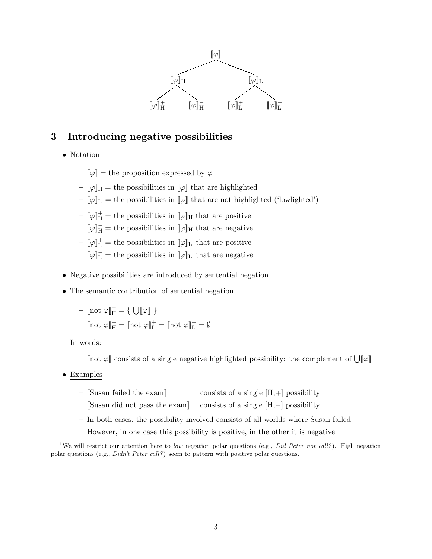

# 3 Introducing negative possibilities

- Notation
	- $\llbracket \varphi \rrbracket =$  the proposition expressed by  $\varphi$
	- $\|\varphi\|_{\text{H}}$  = the possibilities in  $\|\varphi\|$  that are highlighted
	- $[\![\varphi]\!]_L$  = the possibilities in  $[\![\varphi]\!]$  that are not highlighted ('lowlighted')
	- $\llbracket \varphi \rrbracket^+$  = the possibilities in  $\llbracket \varphi \rrbracket_H$  that are positive
	- $\llbracket \varphi \rrbracket_{\overline{\text{H}}}$  = the possibilities in  $\llbracket \varphi \rrbracket_{\text{H}}$  that are negative
	- $-\llbracket \varphi \rrbracket_{\mathrm{L}}^+$  = the possibilities in  $\llbracket \varphi \rrbracket_{\mathrm{L}}$  that are positive
	- $[\![\varphi]\!]_L^-$  = the possibilities in  $[\![\varphi]\!]_L$  that are negative
- Negative possibilities are introduced by sentential negation
- The semantic contribution of sentential negation

$$
-\n\begin{bmatrix}\n\text{not } \varphi\n\end{bmatrix}_{H}^{-} = \{ \overline{U[\varphi]} \}
$$
\n
$$
-\n\begin{bmatrix}\n\text{not } \varphi\n\end{bmatrix}_{H}^{+} = \begin{bmatrix}\n\text{not } \varphi\n\end{bmatrix}_{L}^{+} = \begin{bmatrix}\n\text{not } \varphi\n\end{bmatrix}_{L}^{-} = \emptyset
$$

In words:

- [not  $\varphi$ ] consists of a single negative highlighted possibility: the complement of  $\bigcup [\varphi]$
- Examples
	- $-$  [Susan failed the exam] consists of a single  $[H,+]$  possibility
	- [[Susan did not pass the exam]] consists of a single [H,−] possibility
	- In both cases, the possibility involved consists of all worlds where Susan failed
	- However, in one case this possibility is positive, in the other it is negative

<sup>&</sup>lt;sup>1</sup>We will restrict our attention here to low negation polar questions (e.g., Did Peter not call?). High negation polar questions (e.g., Didn't Peter call?) seem to pattern with positive polar questions.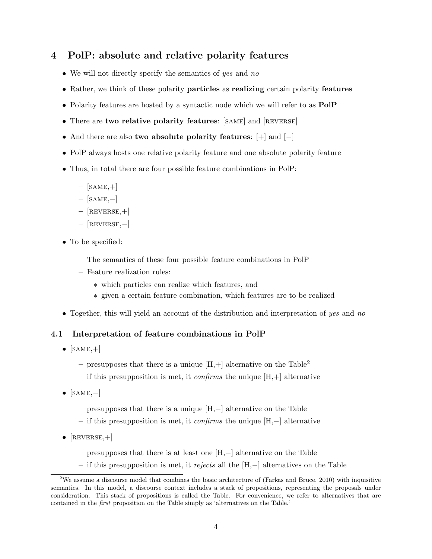## 4 PolP: absolute and relative polarity features

- We will not directly specify the semantics of yes and no
- Rather, we think of these polarity particles as realizing certain polarity features
- Polarity features are hosted by a syntactic node which we will refer to as  $\text{PolP}$
- There are two relative polarity features: [SAME] and [REVERSE]
- And there are also two absolute polarity features: [+] and [−]
- PolP always hosts one relative polarity feature and one absolute polarity feature
- Thus, in total there are four possible feature combinations in PolP:
	- $-$  [SAME, $+$ ]
	- [same,−]
	- $-$  [REVERSE, +]
	- [reverse,−]
- To be specified:
	- The semantics of these four possible feature combinations in PolP
	- Feature realization rules:
		- ∗ which particles can realize which features, and
		- ∗ given a certain feature combination, which features are to be realized
- Together, this will yield an account of the distribution and interpretation of yes and no

### 4.1 Interpretation of feature combinations in PolP

- $[SAME,+]$ 
	- presupposes that there is a unique  $[H,+]$  alternative on the Table<sup>2</sup>
	- if this presupposition is met, it *confirms* the unique  $[H,+]$  alternative
- $[SAME, -]$ 
	- presupposes that there is a unique [H,−] alternative on the Table
	- if this presupposition is met, it confirms the unique [H,−] alternative
- $[REVERSE,+]$ 
	- presupposes that there is at least one [H,−] alternative on the Table
	- if this presupposition is met, it rejects all the  $[H,-]$  alternatives on the Table

<sup>2</sup>We assume a discourse model that combines the basic architecture of (Farkas and Bruce, 2010) with inquisitive semantics. In this model, a discourse context includes a stack of propositions, representing the proposals under consideration. This stack of propositions is called the Table. For convenience, we refer to alternatives that are contained in the *first* proposition on the Table simply as 'alternatives on the Table.'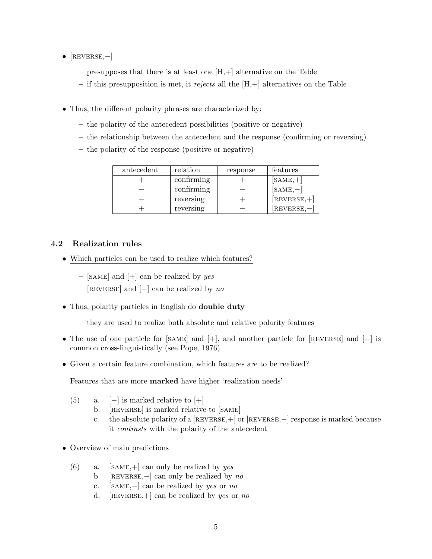- $[REVERSE, -]$ 
	- $-$  presupposes that there is at least one  $[H,+]$  alternative on the Table
	- if this presupposition is met, it rejects all the  $[H,+]$  alternatives on the Table
- Thus, the different polarity phrases are characterized by:
	- the polarity of the antecedent possibilities (positive or negative)
	- the relationship between the antecedent and the response (confirming or reversing)
	- the polarity of the response (positive or negative)

| antecedent | relation   | response | features      |
|------------|------------|----------|---------------|
|            | confirming |          | $[SAME,+]$    |
|            | confirming |          | $[SAME, -]$   |
|            | reversing  |          | $[REVERSE,+]$ |
|            | reversing  |          | REVERSE,-     |

### 4.2 Realization rules

- Which particles can be used to realize which features?
	- [SAME] and  $[+]$  can be realized by yes
	- $-$  [REVERSE] and [−] can be realized by no
- Thus, polarity particles in English do **double duty** 
	- they are used to realize both absolute and relative polarity features
- The use of one particle for [same] and [+], and another particle for [reverse] and [−] is common cross-linguistically (see Pope, 1976)
- Given a certain feature combination, which features are to be realized?

Features that are more marked have higher 'realization needs'

- (5) a.  $[-]$  is marked relative to  $[+]$ 
	- b. [REVERSE] is marked relative to [SAME]
	- c. the absolute polarity of a [reverse,+] or [reverse,−] response is marked because it contrasts with the polarity of the antecedent
- Overview of main predictions
	- (6) a. [SAME, +] can only be realized by yes
		- b. [REVERSE, $-$ ] can only be realized by no
		- c. [same,−] can be realized by yes or no
		- d. [REVERSE, +] can be realized by yes or no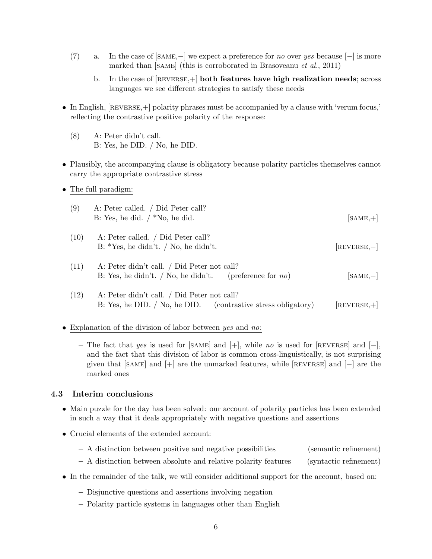- (7) a. In the case of  $[\text{SAME}, -]$  we expect a preference for *no* over yes because  $[-]$  is more marked than [SAME] (this is corroborated in Brasoveanu et al., 2011)
	- b. In the case of  $[REVERSE,+]$  both features have high realization needs; across languages we see different strategies to satisfy these needs
- In English,  $[REVERSE, +]$  polarity phrases must be accompanied by a clause with 'verum focus,' reflecting the contrastive positive polarity of the response:
	- (8) A: Peter didn't call. B: Yes, he DID. / No, he DID.
- Plausibly, the accompanying clause is obligatory because polarity particles themselves cannot carry the appropriate contrastive stress
- The full paradigm:

| (9)  | A: Peter called. / Did Peter call?<br>B: Yes, he did. $/*No$ , he did.                                         | $[SAME,+]$     |
|------|----------------------------------------------------------------------------------------------------------------|----------------|
| (10) | A: Peter called. / Did Peter call?<br>B: *Yes, he didn't. / No, he didn't.                                     | $[REVERSE, -]$ |
| (11) | A: Peter didn't call. / Did Peter not call?<br>B: Yes, he didn't. / No, he didn't. (preference for no)         | $[SAME, -]$    |
| (12) | A: Peter didn't call. / Did Peter not call?<br>B: Yes, he DID. $/$ No, he DID. (contrastive stress obligatory) | $REVERSE, +$   |

- Explanation of the division of labor between *yes* and *no*:
	- The fact that yes is used for [SAME] and [+], while no is used for [REVERSE] and [-], and the fact that this division of labor is common cross-linguistically, is not surprising given that [SAME] and  $[+]$  are the unmarked features, while [REVERSE] and  $[-]$  are the marked ones

### 4.3 Interim conclusions

- Main puzzle for the day has been solved: our account of polarity particles has been extended in such a way that it deals appropriately with negative questions and assertions
- Crucial elements of the extended account:

| - A distinction between positive and negative possibilities | (semantic refinement) |
|-------------------------------------------------------------|-----------------------|
|-------------------------------------------------------------|-----------------------|

- A distinction between absolute and relative polarity features (syntactic refinement)
- In the remainder of the talk, we will consider additional support for the account, based on:
	- Disjunctive questions and assertions involving negation
	- Polarity particle systems in languages other than English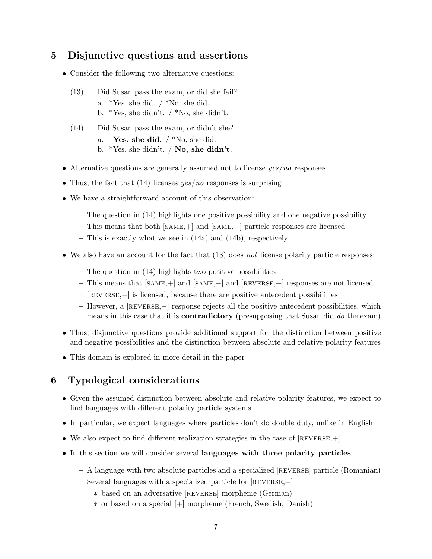# 5 Disjunctive questions and assertions

- Consider the following two alternative questions:
	- (13) Did Susan pass the exam, or did she fail? a. \*Yes, she did. / \*No, she did. b. \*Yes, she didn't. / \*No, she didn't.
	- (14) Did Susan pass the exam, or didn't she?
		- a. Yes, she did.  $/*$ No, she did.
		- b. \*Yes, she didn't.  $\sqrt{N_0}$ , she didn't.
- Alternative questions are generally assumed not to license  $yes/no$  responses
- Thus, the fact that  $(14)$  licenses  $yes/no$  responses is surprising
- We have a straightforward account of this observation:
	- The question in (14) highlights one positive possibility and one negative possibility
	- This means that both [same,+] and [same,−] particle responses are licensed
	- This is exactly what we see in (14a) and (14b), respectively.
- We also have an account for the fact that  $(13)$  does not license polarity particle responses:
	- The question in (14) highlights two positive possibilities
	- This means that [same,+] and [same,−] and [reverse,+] responses are not licensed
	- [reverse,−] is licensed, because there are positive antecedent possibilities
	- However, a [reverse,−] response rejects all the positive antecedent possibilities, which means in this case that it is **contradictory** (presupposing that Susan did do the exam)
- Thus, disjunctive questions provide additional support for the distinction between positive and negative possibilities and the distinction between absolute and relative polarity features
- This domain is explored in more detail in the paper

## 6 Typological considerations

- Given the assumed distinction between absolute and relative polarity features, we expect to find languages with different polarity particle systems
- In particular, we expect languages where particles don't do double duty, unlike in English
- We also expect to find different realization strategies in the case of  $[REVERSE,+]$
- In this section we will consider several languages with three polarity particles:
	- A language with two absolute particles and a specialized [reverse] particle (Romanian)
	- Several languages with a specialized particle for [reverse,+]
		- ∗ based on an adversative [reverse] morpheme (German)
		- ∗ or based on a special [+] morpheme (French, Swedish, Danish)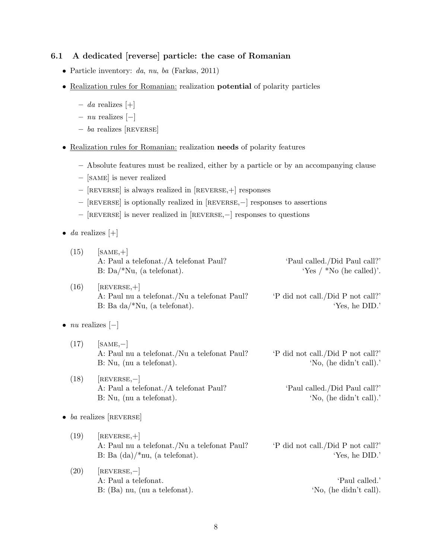### 6.1 A dedicated [reverse] particle: the case of Romanian

- Particle inventory: da, nu, ba (Farkas, 2011)
- Realization rules for Romanian: realization potential of polarity particles
	- $-$  da realizes [+]
	- nu realizes [−]
	- $-$  ba realizes [REVERSE]
- Realization rules for Romanian: realization needs of polarity features
	- Absolute features must be realized, either by a particle or by an accompanying clause
	- [same] is never realized
	- [reverse] is always realized in [reverse,+] responses
	- [reverse] is optionally realized in [reverse,−] responses to assertions
	- [reverse] is never realized in [reverse,−] responses to questions
- *da* realizes  $[+]$

| (15) | $[SAME,+]$<br>A: Paul a telefonat./A telefonat Paul?<br>$B: Da/^*Nu$ , (a telefonat).            | 'Paul called./Did Paul call?'<br>'Yes / $*$ No (he called)'. |
|------|--------------------------------------------------------------------------------------------------|--------------------------------------------------------------|
| (16) | $[REVERSE,+]$<br>A: Paul nu a telefonat./Nu a telefonat Paul?<br>B: Ba $da$ /*Nu, (a telefonat). | 'P did not call./Did P not call?'<br>'Yes, he DID.'          |

#### •  $nu$  realizes  $[-]$

- $(17)$  [SAME,-] A: Paul nu a telefonat./Nu a telefonat Paul? 'P did not call./Did P not call?' B: Nu, (nu a telefonat). 'No, (he didn't call).'
- $(18)$  [REVERSE,-] A: Paul a telefonat./A telefonat Paul? 'Paul called./Did Paul call?' B: Nu, (nu a telefonat). 'No, (he didn't call).'

 $\bullet$  *ba* realizes [REVERSE]

- $(19)$  [REVERSE, +] A: Paul nu a telefonat./Nu a telefonat Paul? 'P did not call./Did P not call?' B: Ba  $(da)/*nu$ , (a telefonat). 'Yes, he DID.'
- $(20)$  [REVERSE,-] A: Paul a telefonat.  $\blacksquare$ B: (Ba) nu, (nu a telefonat). 'No, (he didn't call).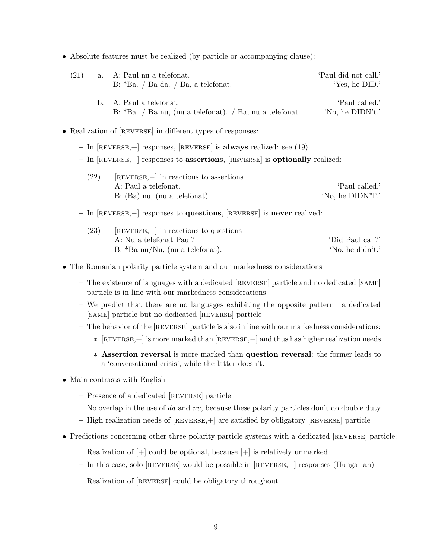• Absolute features must be realized (by particle or accompanying clause):

| (21) | a. A: Paul nu a telefonat.                                    | 'Paul did not call.' |
|------|---------------------------------------------------------------|----------------------|
|      | $B:$ *Ba. / Ba da. / Ba, a telefonat.                         | 'Yes, he DID.'       |
|      | b. A: Paul a telefonat.                                       | 'Paul called.'       |
|      | B: $*Ba. / Ba.$ mu, (nu a telefonat). $/Ba$ , nu a telefonat. | 'No, he DIDN't.'     |

- Realization of [REVERSE] in different types of responses:
	- $-$  In [REVERSE, +] responses, [REVERSE] is always realized: see (19)
	- In [reverse,−] responses to assertions, [reverse] is optionally realized:
		- $(22)$  [REVERSE,−] in reactions to assertions A: Paul a telefonat.  $\bullet$  'Paul called.' B: (Ba) nu, (nu a telefonat). 'No, he DIDN'T.'

#### – In [reverse,−] responses to questions, [reverse] is never realized:

| (23) | $[REVERSE, -]$ in reactions to questions |                  |  |
|------|------------------------------------------|------------------|--|
|      | A: Nu a telefonat Paul?                  | 'Did Paul call?' |  |
|      | $B:$ *Ba nu/Nu, (nu a telefonat).        | 'No, he didn't.' |  |

#### • The Romanian polarity particle system and our markedness considerations

- The existence of languages with a dedicated [reverse] particle and no dedicated [same] particle is in line with our markedness considerations
- We predict that there are no languages exhibiting the opposite pattern—a dedicated [same] particle but no dedicated [reverse] particle
- The behavior of the [reverse] particle is also in line with our markedness considerations:
	- ∗ [reverse,+] is more marked than [reverse,−] and thus has higher realization needs
	- ∗ Assertion reversal is more marked than question reversal: the former leads to a 'conversational crisis', while the latter doesn't.
- Main contrasts with English
	- Presence of a dedicated [reverse] particle
	- No overlap in the use of da and  $nu$ , because these polarity particles don't do double duty
	- $-$  High realization needs of  $[REVERSE,+]$  are satisfied by obligatory  $[REVERSE]$  particle
- Predictions concerning other three polarity particle systems with a dedicated [REVERSE] particle:
	- Realization of [+] could be optional, because [+] is relatively unmarked
	- $-$  In this case, solo [REVERSE] would be possible in [REVERSE,  $+$ ] responses (Hungarian)
	- Realization of [reverse] could be obligatory throughout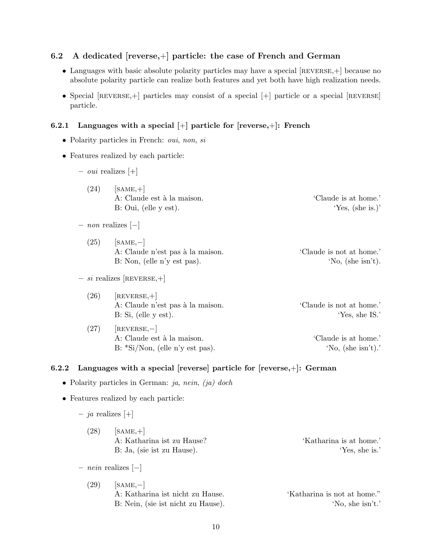### 6.2 A dedicated [reverse,+] particle: the case of French and German

- Languages with basic absolute polarity particles may have a special [REVERSE, +] because no absolute polarity particle can realize both features and yet both have high realization needs.
- Special [REVERSE, +] particles may consist of a special [+] particle or a special [REVERSE] particle.

#### 6.2.1 Languages with a special  $[+]$  particle for [reverse, $+]$ : French

- Polarity particles in French: *oui*, *non*, *si*
- Features realized by each particle:
	- $-$  *oui* realizes [+]
		- $(24)$  [SAME, +] A: Claude est à la maison.  $\bullet$  'Claude is at home.' B: Oui, (elle y est). 'Yes, (she is.)'
	- non realizes [−]
		- $(25)$  [SAME,-] A: Claude n'est pas à la maison. 'Claude is not at home.' B: Non, (elle n'y est pas). 'No, (she isn't).
	- $si$  realizes [REVERSE, $+$ ]
		- $(26)$  [REVERSE, +] A: Claude n'est pas à la maison. 'Claude is not at home.' B: Si, (elle y est). 'Yes, she IS.'

 $(27)$  [REVERSE,-] A: Claude est à la maison. 'Claude is at home.' B:  $*Si/Non$ , (elle n'y est pas). 'No, (she isn't).'

#### 6.2.2 Languages with a special [reverse] particle for [reverse,+]: German

- Polarity particles in German: ja, nein, (ja) doch
- Features realized by each particle:
	- ja realizes [+]
		- $(28)$  [SAME, +] A: Katharina ist zu Hause? 'Katharina is at home.' B: Ja, (sie ist zu Hause). 'Yes, she is.'
	- nein realizes [−]
		- $(29)$  [SAME,-] A: Katharina ist nicht zu Hause. 'Katharina is not at home."

B: Nein, (sie ist nicht zu Hause). 'No, she isn't.'